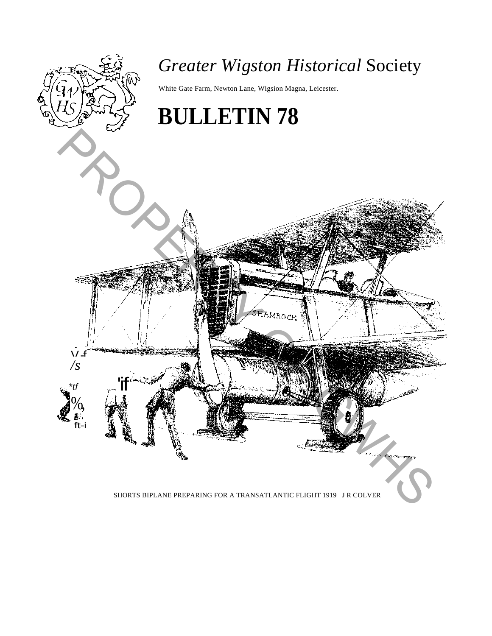

SHORTS BIPLANE PREPARING FOR A TRANSATLANTIC FLIGHT 1919 J R COLVER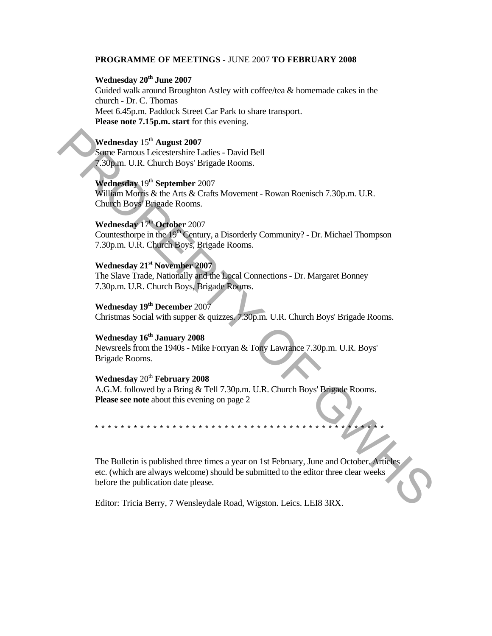#### **PROGRAMME OF MEETINGS -** JUNE 2007 **TO FEBRUARY 2008**

# Wednesday 20<sup>th</sup> June 2007

Guided walk around Broughton Astley with coffee/tea & homemade cakes in the church - Dr. C. Thomas Meet 6.45p.m. Paddock Street Car Park to share transport. **Please note 7.15p.m. start** for this evening.

# **Wednesday** 15th **August 2007**

Some Famous Leicestershire Ladies - David Bell 7.30p.m. U.R. Church Boys' Brigade Rooms.

## **Wednesday** 19th **September** 2007

William Morris & the Arts & Crafts Movement - Rowan Roenisch 7.30p.m. U.R. Church Boys' Brigade Rooms.

# **Wednesday** 17th **October** 2007

Countesthorpe in the  $19<sup>th</sup>$  Century, a Disorderly Community? - Dr. Michael Thompson 7.30p.m. U.R. Church Boys, Brigade Rooms.

### **Wednesday 21st November 2007**

The Slave Trade, Nationally and the Local Connections - Dr. Margaret Bonney 7.30p.m. U.R. Church Boys, Brigade Rooms.

# **Wednesday 19th December** 2007

Christmas Social with supper & quizzes. 7.30p.m. U.R. Church Boys' Brigade Rooms.

# Wednesday  $16^{th}$  January 2008

Newsreels from the 1940s - Mike Forryan & Tony Lawrance 7.30p.m. U.R. Boys' Brigade Rooms.

### **Wednesday** 20th **February 2008**

A.G.M. followed by a Bring & Tell 7.30p.m. U.R. Church Boys' Brigade Rooms. **Please see note** about this evening on page 2

\*\*\*\*\*\*\*\*\*\*\*\*\*\*\*\*\*\*\*\*\*\*\*\*\*\*\*\*\*\*\*\*\*\*\*\*\*\*\*\*\*\*\*\*\*

The Bulletin is published three times a year on 1st February, June and October. Articles etc. (which are always welcome) should be submitted to the editor three clear weeks before the publication date please. Wednesday 15<sup>th</sup> August 2007<br>
Some UR. Church Boys Brigade Rooms.<br> **Some UR. Church Boys Brigade Rooms.**<br> **Wednesday 19<sup>th</sup> September 2007**<br>
William Moras & the Arts & Crash Movement - Rowan Roenisch 7.30p.m. U.R.<br>
Church

Editor: Tricia Berry, 7 Wensleydale Road, Wigston. Leics. LEI8 3RX.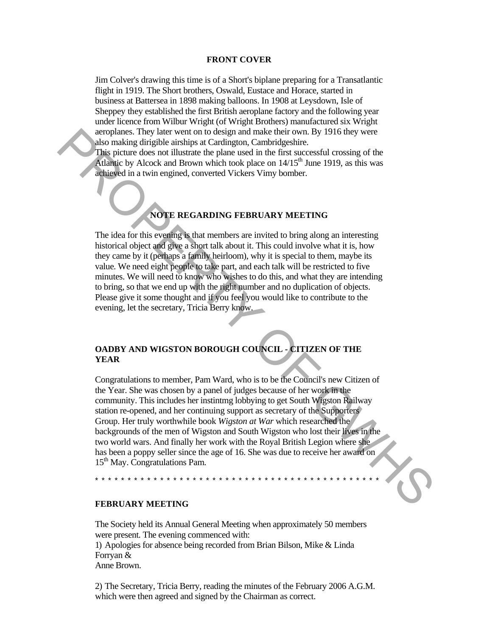#### **FRONT COVER**

Jim Colver's drawing this time is of a Short's biplane preparing for a Transatlantic flight in 1919. The Short brothers, Oswald, Eustace and Horace, started in business at Battersea in 1898 making balloons. In 1908 at Leysdown, Isle of Sheppey they established the first British aeroplane factory and the following year under licence from Wilbur Wright (of Wright Brothers) manufactured six Wright aeroplanes. They later went on to design and make their own. By 1916 they were also making dirigible airships at Cardington, Cambridgeshire.

This picture does not illustrate the plane used in the first successful crossing of the Atlantic by Alcock and Brown which took place on  $14/15<sup>th</sup>$  June 1919, as this was achieved in a twin engined, converted Vickers Vimy bomber.

#### **NOTE REGARDING FEBRUARY MEETING**

The idea for this evening is that members are invited to bring along an interesting historical object and give a short talk about it. This could involve what it is, how they came by it (perhaps a family heirloom), why it is special to them, maybe its value. We need eight people to take part, and each talk will be restricted to five minutes. We will need to know who wishes to do this, and what they are intending to bring, so that we end up with the right number and no duplication of objects. Please give it some thought and if you feel you would like to contribute to the evening, let the secretary, Tricia Berry know.

#### **OADBY AND WIGSTON BOROUGH COUNCIL - CITIZEN OF THE YEAR**

Congratulations to member, Pam Ward, who is to be the Council's new Citizen of the Year. She was chosen by a panel of judges because of her work in the community. This includes her instintmg lobbying to get South Wigston Railway station re-opened, and her continuing support as secretary of the Supporters Group. Her truly worthwhile book *Wigston at War* which researched the backgrounds of the men of Wigston and South Wigston who lost their lives in the two world wars. And finally her work with the Royal British Legion where she has been a poppy seller since the age of 16. She was due to receive her award on 15<sup>th</sup> May. Congratulations Pam. also making direct worth to design and make their own. By 1916 they were<br>
also making dirigible distalys at Cardington, Cambridgeshire.<br>
This picture does not libustrate the plane used in the first successful crossing of t

\*\*\*\*\*\*\*\*\*\*\*\*\*\*\*\*\*\*\*\*\*\*\*\*\*\*\*\*\*\*\*\*\*\*\*\*\*\*\*\*\*\*\*\*

#### **FEBRUARY MEETING**

The Society held its Annual General Meeting when approximately 50 members were present. The evening commenced with: 1) Apologies for absence being recorded from Brian Bilson, Mike & Linda Forryan & Anne Brown.

2) The Secretary, Tricia Berry, reading the minutes of the February 2006 A.G.M. which were then agreed and signed by the Chairman as correct.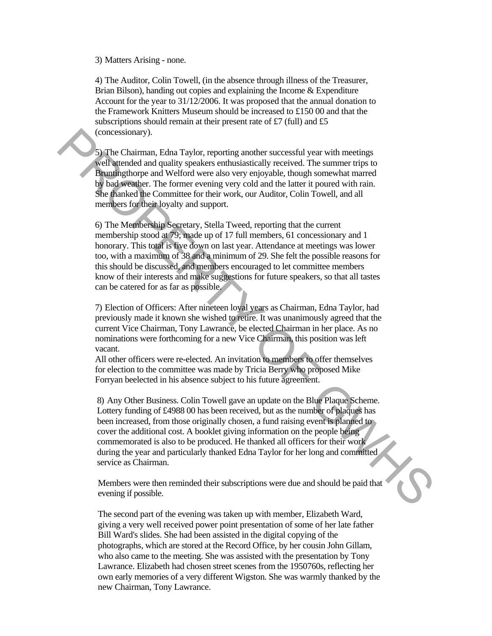3) Matters Arising - none.

4) The Auditor, Colin Towell, (in the absence through illness of the Treasurer, Brian Bilson), handing out copies and explaining the Income & Expenditure Account for the year to 31/12/2006. It was proposed that the annual donation to the Framework Knitters Museum should be increased to £150 00 and that the subscriptions should remain at their present rate of £7 (full) and £5 (concessionary).

5) The Chairman, Edna Taylor, reporting another successful year with meetings well attended and quality speakers enthusiastically received. The summer trips to Bruntingthorpe and Welford were also very enjoyable, though somewhat marred by bad weather. The former evening very cold and the latter it poured with rain. She thanked the Committee for their work, our Auditor, Colin Towell, and all members for their loyalty and support.

6) The Membership Secretary, Stella Tweed, reporting that the current membership stood at 79; made up of 17 full members, 61 concessionary and 1 honorary. This total is five down on last year. Attendance at meetings was lower too, with a maximum of 38 and a minimum of 29. She felt the possible reasons for this should be discussed, and members encouraged to let committee members know of their interests and make suggestions for future speakers, so that all tastes can be catered for as far as possible. (concessionary).<br>
So The Chiniman, Edna Taylor, reporting another successful year with meetings<br>
So The chiniman, Edna Taylor, reporting another successful year with meetings<br>
Neutralic distribution was also very exploited

7) Election of Officers: After nineteen loyal years as Chairman, Edna Taylor, had previously made it known she wished to retire. It was unanimously agreed that the current Vice Chairman, Tony Lawrance, be elected Chairman in her place. As no nominations were forthcoming for a new Vice Chairman, this position was left vacant.

All other officers were re-elected. An invitation to members to offer themselves for election to the committee was made by Tricia Berry who proposed Mike Forryan beelected in his absence subject to his future agreement.

8) Any Other Business. Colin Towell gave an update on the Blue Plaque Scheme. Lottery funding of £4988 00 has been received, but as the number of plaques has been increased, from those originally chosen, a fund raising event is planned to cover the additional cost. A booklet giving information on the people being commemorated is also to be produced. He thanked all officers for their work during the year and particularly thanked Edna Taylor for her long and committed service as Chairman.

Members were then reminded their subscriptions were due and should be paid that evening if possible.

The second part of the evening was taken up with member, Elizabeth Ward, giving a very well received power point presentation of some of her late father Bill Ward's slides. She had been assisted in the digital copying of the photographs, which are stored at the Record Office, by her cousin John Gillam, who also came to the meeting. She was assisted with the presentation by Tony Lawrance. Elizabeth had chosen street scenes from the 1950760s, reflecting her own early memories of a very different Wigston. She was warmly thanked by the new Chairman, Tony Lawrance.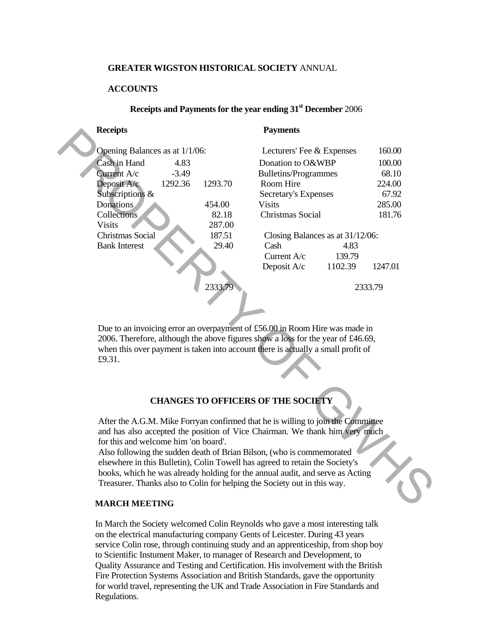#### **GREATER WIGSTON HISTORICAL SOCIETY** ANNUAL

### **ACCOUNTS**

## **Receipts and Payments for the year ending 31st December** 2006

|  | <b>Receipts</b>                                                                                                                                                                                                                                    |         |         | <b>Payments</b>                  |                   |         |  |  |  |  |
|--|----------------------------------------------------------------------------------------------------------------------------------------------------------------------------------------------------------------------------------------------------|---------|---------|----------------------------------|-------------------|---------|--|--|--|--|
|  | Opening Balances as at 1/1/06:                                                                                                                                                                                                                     |         |         | Lecturers' Fee & Expenses        | 160.00            |         |  |  |  |  |
|  | Cash in Hand                                                                                                                                                                                                                                       | 4.83    |         |                                  | Donation to O&WBP |         |  |  |  |  |
|  | Current A/c                                                                                                                                                                                                                                        | $-3.49$ |         | <b>Bulletins/Programmes</b>      |                   | 68.10   |  |  |  |  |
|  | Deposit A/c                                                                                                                                                                                                                                        | 1292.36 | 1293.70 | Room Hire                        |                   | 224.00  |  |  |  |  |
|  | Subscriptions &                                                                                                                                                                                                                                    |         |         | Secretary's Expenses             |                   | 67.92   |  |  |  |  |
|  | Donations                                                                                                                                                                                                                                          |         | 454.00  | <b>Visits</b>                    |                   | 285.00  |  |  |  |  |
|  | Collections                                                                                                                                                                                                                                        |         | 82.18   | Christmas Social                 |                   | 181.76  |  |  |  |  |
|  | <b>Visits</b>                                                                                                                                                                                                                                      |         | 287.00  |                                  |                   |         |  |  |  |  |
|  | Christmas Social                                                                                                                                                                                                                                   |         | 187.51  | Closing Balances as at 31/12/06: |                   |         |  |  |  |  |
|  | <b>Bank Interest</b>                                                                                                                                                                                                                               |         | 29.40   | Cash                             | 4.83              |         |  |  |  |  |
|  |                                                                                                                                                                                                                                                    |         |         | Current A/c                      | 139.79            |         |  |  |  |  |
|  |                                                                                                                                                                                                                                                    |         |         | Deposit A/c                      | 1102.39           | 1247.01 |  |  |  |  |
|  |                                                                                                                                                                                                                                                    |         |         |                                  |                   |         |  |  |  |  |
|  |                                                                                                                                                                                                                                                    |         | 2333.79 |                                  | 2333.79           |         |  |  |  |  |
|  |                                                                                                                                                                                                                                                    |         |         |                                  |                   |         |  |  |  |  |
|  |                                                                                                                                                                                                                                                    |         |         |                                  |                   |         |  |  |  |  |
|  |                                                                                                                                                                                                                                                    |         |         |                                  |                   |         |  |  |  |  |
|  | Due to an invoicing error an overpayment of £56.00 in Room Hire was made in<br>2006. Therefore, although the above figures show a loss for the year of £46.69,<br>when this over payment is taken into account there is actually a small profit of |         |         |                                  |                   |         |  |  |  |  |
|  |                                                                                                                                                                                                                                                    |         |         |                                  |                   |         |  |  |  |  |
|  |                                                                                                                                                                                                                                                    |         |         |                                  |                   |         |  |  |  |  |
|  | £9.31.                                                                                                                                                                                                                                             |         |         |                                  |                   |         |  |  |  |  |
|  |                                                                                                                                                                                                                                                    |         |         |                                  |                   |         |  |  |  |  |
|  |                                                                                                                                                                                                                                                    |         |         |                                  |                   |         |  |  |  |  |
|  |                                                                                                                                                                                                                                                    |         |         |                                  |                   |         |  |  |  |  |
|  | <b>CHANGES TO OFFICERS OF THE SOCIETY</b>                                                                                                                                                                                                          |         |         |                                  |                   |         |  |  |  |  |
|  |                                                                                                                                                                                                                                                    |         |         |                                  |                   |         |  |  |  |  |
|  | After the A.G.M. Mike Forryan confirmed that he is willing to join the Committee<br>and has also accepted the position of Vice Chairman. We thank him very much                                                                                    |         |         |                                  |                   |         |  |  |  |  |
|  |                                                                                                                                                                                                                                                    |         |         |                                  |                   |         |  |  |  |  |
|  | for this and welcome him 'on board'.                                                                                                                                                                                                               |         |         |                                  |                   |         |  |  |  |  |
|  | Also following the sudden death of Brian Bilson, (who is commemorated                                                                                                                                                                              |         |         |                                  |                   |         |  |  |  |  |
|  | elsewhere in this Bulletin), Colin Towell has agreed to retain the Society's                                                                                                                                                                       |         |         |                                  |                   |         |  |  |  |  |
|  | books, which he was already holding for the annual audit, and serve as Acting                                                                                                                                                                      |         |         |                                  |                   |         |  |  |  |  |
|  | Treasurer. Thanks also to Colin for helping the Society out in this way.                                                                                                                                                                           |         |         |                                  |                   |         |  |  |  |  |
|  |                                                                                                                                                                                                                                                    |         |         |                                  |                   |         |  |  |  |  |
|  | <b>MARCH MEETING</b>                                                                                                                                                                                                                               |         |         |                                  |                   |         |  |  |  |  |

### **CHANGES TO OFFICERS OF THE SOCIETY**

### **MARCH MEETING**

In March the Society welcomed Colin Reynolds who gave a most interesting talk on the electrical manufacturing company Gents of Leicester. During 43 years service Colin rose, through continuing study and an apprenticeship, from shop boy to Scientific Instument Maker, to manager of Research and Development, to Quality Assurance and Testing and Certification. His involvement with the British Fire Protection Systems Association and British Standards, gave the opportunity for world travel, representing the UK and Trade Association in Fire Standards and Regulations.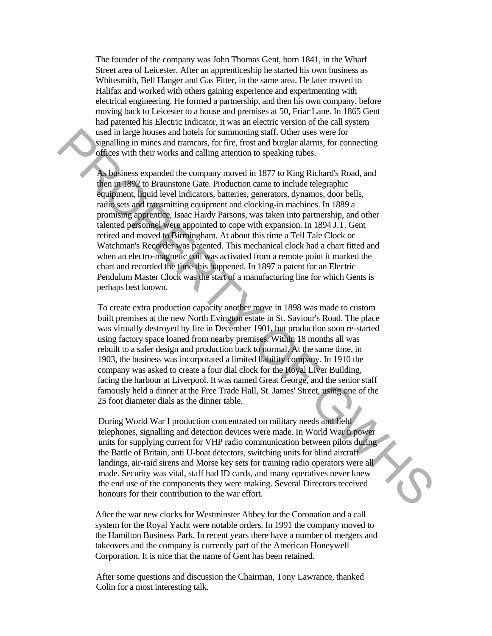The founder of the company was John Thomas Gent, born 1841, in the Wharf Street area of Leicester. After an apprenticeship he started his own business as Whitesmith, Bell Hanger and Gas Fitter, in the same area. He later moved to Halifax and worked with others gaining experience and experimenting with electrical engineering. He formed a partnership, and then his own company, before moving back to Leicester to a house and premises at 50, Friar Lane. In 1865 Gent had patented his Electric Indicator, it was an electric version of the call system used in large houses and hotels for summoning staff. Other uses were for signalling in mines and tramcars, for fire, frost and burglar alarms, for connecting offices with their works and calling attention to speaking tubes.

As business expanded the company moved in 1877 to King Richard's Road, and then in 1892 to Braunstone Gate. Production came to include telegraphic equipment, liquid level indicators, batteries, generators, dynamos, door bells, radio sets and transmitting equipment and clocking-in machines. In 1889 a promising apprentice, Isaac Hardy Parsons, was taken into partnership, and other talented personnel were appointed to cope with expansion. In 1894 J.T. Gent retired and moved to Birmingham. At about this time a Tell Tale Clock or Watchman's Recorder was patented. This mechanical clock had a chart fitted and when an electro-magnetic coil was activated from a remote point it marked the chart and recorded the time this happened. In 1897 a patent for an Electric Pendulum Master Clock was the start of a manufacturing line for which Gents is perhaps best known. used in large houses and house for summoning staff. Other uses were for<br>the dialing in mines and transcers, for free, frost and burglar atams, for connecting<br>offices with their works and calling attention to speaking tubes

To create extra production capacity another move in 1898 was made to custom built premises at the new North Evington estate in St. Saviour's Road. The place was virtually destroyed by fire in December 1901, but production soon re-started using factory space loaned from nearby premises. Within 18 months all was rebuilt to a safer design and production back to normal. At the same time, in 1903, the business was incorporated a limited liability company. In 1910 the company was asked to create a four dial clock for the Royal Liver Building, facing the harbour at Liverpool. It was named Great George, and the senior staff famously held a dinner at the Free Trade Hall, St. James' Street, using one of the 25 foot diameter dials as the dinner table.

During World War I production concentrated on military needs and field telephones, signalling and detection devices were made. In World War n power units for supplying current for VHP radio communication between pilots during the Battle of Britain, anti U-boat detectors, switching units for blind aircraft landings, air-raid sirens and Morse key sets for training radio operators were all made. Security was vital, staff had ID cards, and many operatives never knew the end use of the components they were making. Several Directors received honours for their contribution to the war effort.

After the war new clocks for Westminster Abbey for the Coronation and a call system for the Royal Yacht were notable orders. In 1991 the company moved to the Hamilton Business Park. In recent years there have a number of mergers and takeovers and the company is currently part of the American Honeywell Corporation. It is nice that the name of Gent has been retained.

After some questions and discussion the Chairman, Tony Lawrance, thanked Colin for a most interesting talk.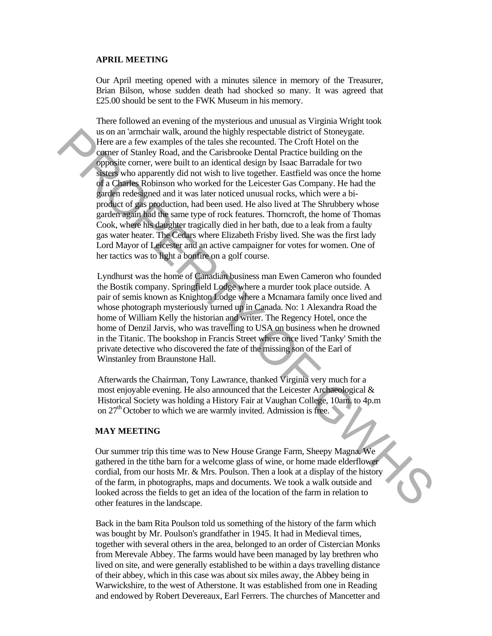### **APRIL MEETING**

Our April meeting opened with a minutes silence in memory of the Treasurer, Brian Bilson, whose sudden death had shocked so many. It was agreed that £25.00 should be sent to the FWK Museum in his memory.

There followed an evening of the mysterious and unusual as Virginia Wright took us on an 'armchair walk, around the highly respectable district of Stoneygate. Here are a few examples of the tales she recounted. The Croft Hotel on the corner of Stanley Road, and the Carisbrooke Dental Practice building on the opposite corner, were built to an identical design by Isaac Barradale for two sisters who apparently did not wish to live together. Eastfield was once the home of a Charles Robinson who worked for the Leicester Gas Company. He had the garden redesigned and it was later noticed unusual rocks, which were a biproduct of gas production, had been used. He also lived at The Shrubbery whose garden again had the same type of rock features. Thorncroft, the home of Thomas Cook, where his daughter tragically died in her bath, due to a leak from a faulty gas water heater. The Cedars where Elizabeth Frisby lived. She was the first lady Lord Mayor of Leicester and an active campaigner for votes for women. One of her tactics was to light a bonfire on a golf course. s on an "membain walk, amound the highly respectible district of Stoneygate.<br>
Here are a few examples of the tales she recounted. The Croft Hotel on the<br>
surger of Stanley, Road, and the Carisbook Denuit (and in the contr

Lyndhurst was the home of Canadian business man Ewen Cameron who founded the Bostik company. Springfield Lodge where a murder took place outside. A pair of semis known as Knighton Lodge where a Mcnamara family once lived and whose photograph mysteriously turned up in Canada. No: 1 Alexandra Road the home of William Kelly the historian and writer. The Regency Hotel, once the home of Denzil Jarvis, who was travelling to USA on business when he drowned in the Titanic. The bookshop in Francis Street where once lived 'Tanky' Smith the private detective who discovered the fate of the missing son of the Earl of Winstanley from Braunstone Hall.

Afterwards the Chairman, Tony Lawrance, thanked Virginia very much for a most enjoyable evening. He also announced that the Leicester Archaeological & Historical Society was holding a History Fair at Vaughan College, 10am. to 4p.m on  $27<sup>th</sup>$  October to which we are warmly invited. Admission is free.

#### **MAY MEETING**

Our summer trip this time was to New House Grange Farm, Sheepy Magna. We gathered in the tithe barn for a welcome glass of wine, or home made elderflower cordial, from our hosts Mr. & Mrs. Poulson. Then a look at a display of the history of the farm, in photographs, maps and documents. We took a walk outside and looked across the fields to get an idea of the location of the farm in relation to other features in the landscape.

Back in the bam Rita Poulson told us something of the history of the farm which was bought by Mr. Poulson's grandfather in 1945. It had in Medieval times, together with several others in the area, belonged to an order of Cistercian Monks from Merevale Abbey. The farms would have been managed by lay brethren who lived on site, and were generally established to be within a days travelling distance of their abbey, which in this case was about six miles away, the Abbey being in Warwickshire, to the west of Atherstone. It was established from one in Reading and endowed by Robert Devereaux, Earl Ferrers. The churches of Mancetter and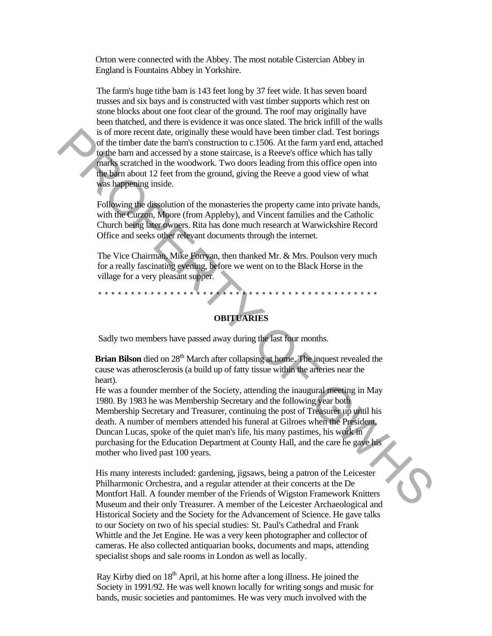Orton were connected with the Abbey. The most notable Cistercian Abbey in England is Fountains Abbey in Yorkshire.

The farm's huge tithe bam is 143 feet long by 37 feet wide. It has seven board trusses and six bays and is constructed with vast timber supports which rest on stone blocks about one foot clear of the ground. The roof may originally have been thatched, and there is evidence it was once slated. The brick infill of the walls is of more recent date, originally these would have been timber clad. Test borings of the timber date the barn's construction to c.1506. At the farm yard end, attached to the barn and accessed by a stone staircase, is a Reeve's office which has tally marks scratched in the woodwork. Two doors leading from this office open into the barn about 12 feet from the ground, giving the Reeve a good view of what was happening inside.

Following the dissolution of the monasteries the property came into private hands, with the Curzon, Moore (from Appleby), and Vincent families and the Catholic Church being later owners. Rita has done much research at Warwickshire Record Office and seeks other relevant documents through the internet.

The Vice Chairman, Mike Forryan, then thanked Mr. & Mrs. Poulson very much for a really fascinating evening, before we went on to the Black Horse in the village for a very pleasant supper.

\*\*\*\*\*\*\*\*\*\*\*\*\*\*\*\*\*\*\*\*\*\*\*\*\*\*\*\*\*\*\*\*\*\*\*\*\*\*\*\*\*\*\*

**OBITUARIES**

Sadly two members have passed away during the last four months.

**Brian Bilson** died on 28<sup>th</sup> March after collapsing at home. The inquest revealed the cause was atherosclerosis (a build up of fatty tissue within the arteries near the heart).

He was a founder member of the Society, attending the inaugural meeting in May 1980. By 1983 he was Membership Secretary and the following year both Membership Secretary and Treasurer, continuing the post of Treasurer up until his death. A number of members attended his funeral at Gilroes when the President, Duncan Lucas, spoke of the quiet man's life, his many pastimes, his work in purchasing for the Education Department at County Hall, and the care he gave his mother who lived past 100 years. is of none recent data, originally these would have been timber clat, Test horing the band constant of the farm yard end, attacked in the woodwork. Two doors leading from this office when has tally to the small of the ape

His many interests included: gardening, jigsaws, being a patron of the Leicester Philharmonic Orchestra, and a regular attender at their concerts at the De Montfort Hall. A founder member of the Friends of Wigston Framework Knitters Museum and their only Treasurer. A member of the Leicester Archaeological and Historical Society and the Society for the Advancement of Science. He gave talks to our Society on two of his special studies: St. Paul's Cathedral and Frank Whittle and the Jet Engine. He was a very keen photographer and collector of cameras. He also collected antiquarian books, documents and maps, attending specialist shops and sale rooms in London as well as locally.

Ray Kirby died on  $18<sup>th</sup>$  April, at his home after a long illness. He joined the Society in 1991/92. He was well known locally for writing songs and music for bands, music societies and pantomimes. He was very much involved with the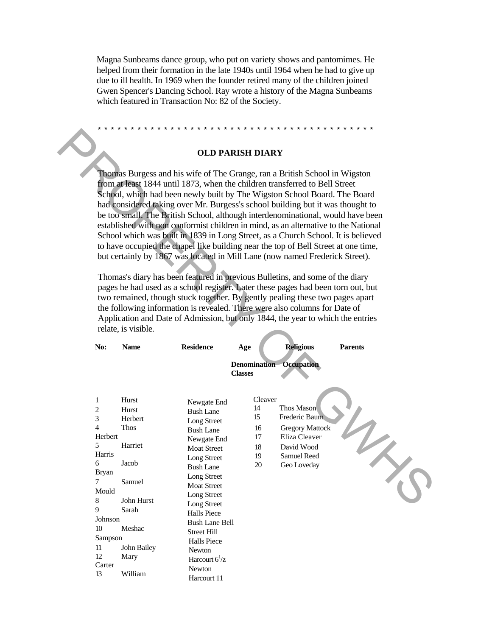Magna Sunbeams dance group, who put on variety shows and pantomimes. He helped from their formation in the late 1940s until 1964 when he had to give up due to ill health. In 1969 when the founder retired many of the children joined Gwen Spencer's Dancing School. Ray wrote a history of the Magna Sunbeams which featured in Transaction No: 82 of the Society.

### \*\*\*\*\*\*\*\*\*\*\*\*\*\*\*\*\*\*\*\*\*\*\*\*\*\*\*\*\*\*\*\*\*\*\*\*\*\*\*\*\*\*

#### **OLD PARISH DIARY**

|                                                                                                                                                                          |                     | <b>OLD PARISH DIARY</b>                                                            |                |                                |                |  |  |  |
|--------------------------------------------------------------------------------------------------------------------------------------------------------------------------|---------------------|------------------------------------------------------------------------------------|----------------|--------------------------------|----------------|--|--|--|
|                                                                                                                                                                          |                     | Thomas Burgess and his wife of The Grange, ran a British School in Wigston         |                |                                |                |  |  |  |
| from at least 1844 until 1873, when the children transferred to Bell Street                                                                                              |                     |                                                                                    |                |                                |                |  |  |  |
|                                                                                                                                                                          |                     | School, which had been newly built by The Wigston School Board. The Board          |                |                                |                |  |  |  |
|                                                                                                                                                                          |                     | had considered taking over Mr. Burgess's school building but it was thought to     |                |                                |                |  |  |  |
|                                                                                                                                                                          |                     | be too small. The British School, although interdenominational, would have been    |                |                                |                |  |  |  |
|                                                                                                                                                                          |                     |                                                                                    |                |                                |                |  |  |  |
| established with non conformist children in mind, as an alternative to the National<br>School which was built in 1839 in Long Street, as a Church School. It is believed |                     |                                                                                    |                |                                |                |  |  |  |
|                                                                                                                                                                          |                     |                                                                                    |                |                                |                |  |  |  |
|                                                                                                                                                                          |                     | to have occupied the chapel like building near the top of Bell Street at one time, |                |                                |                |  |  |  |
|                                                                                                                                                                          |                     | but certainly by 1867 was located in Mill Lane (now named Frederick Street).       |                |                                |                |  |  |  |
|                                                                                                                                                                          |                     |                                                                                    |                |                                |                |  |  |  |
|                                                                                                                                                                          |                     | Thomas's diary has been featured in previous Bulletins, and some of the diary      |                |                                |                |  |  |  |
| pages he had used as a school register. Later these pages had been torn out, but                                                                                         |                     |                                                                                    |                |                                |                |  |  |  |
|                                                                                                                                                                          |                     | two remained, though stuck together. By gently pealing these two pages apart       |                |                                |                |  |  |  |
|                                                                                                                                                                          |                     | the following information is revealed. There were also columns for Date of         |                |                                |                |  |  |  |
|                                                                                                                                                                          |                     | Application and Date of Admission, but only 1844, the year to which the entries    |                |                                |                |  |  |  |
|                                                                                                                                                                          | relate, is visible. |                                                                                    |                |                                |                |  |  |  |
|                                                                                                                                                                          |                     |                                                                                    |                |                                |                |  |  |  |
| No:                                                                                                                                                                      | <b>Name</b>         | <b>Residence</b>                                                                   | Age            | <b>Religious</b>               | <b>Parents</b> |  |  |  |
|                                                                                                                                                                          |                     |                                                                                    |                | <b>Denomination</b> Occupation |                |  |  |  |
|                                                                                                                                                                          |                     |                                                                                    | <b>Classes</b> |                                |                |  |  |  |
|                                                                                                                                                                          |                     |                                                                                    |                |                                |                |  |  |  |
| 1                                                                                                                                                                        | Hurst               |                                                                                    | Cleaver        |                                |                |  |  |  |
| 2                                                                                                                                                                        | Hurst               | Newgate End                                                                        | 14             | Thos Mason                     |                |  |  |  |
| 3                                                                                                                                                                        | Herbert             | <b>Bush Lane</b>                                                                   | 15             | Frederic Baum                  |                |  |  |  |
|                                                                                                                                                                          |                     |                                                                                    |                |                                |                |  |  |  |
|                                                                                                                                                                          |                     | Long Street                                                                        |                |                                |                |  |  |  |
| $\overline{\mathcal{L}}$<br>Herbert                                                                                                                                      | Thos                | <b>Bush Lane</b>                                                                   | 16             | <b>Gregory Mattock</b>         |                |  |  |  |
| 5                                                                                                                                                                        |                     | Newgate End                                                                        | 17             | Eliza Cleaver                  |                |  |  |  |
| Harris                                                                                                                                                                   | Harriet             | <b>Moat Street</b>                                                                 | 18             | David Wood                     |                |  |  |  |
| 6                                                                                                                                                                        | Jacob               | Long Street                                                                        | 19             | Samuel Reed                    |                |  |  |  |
| <b>Bryan</b>                                                                                                                                                             |                     | <b>Bush Lane</b>                                                                   | 20             | Geo Loveday                    |                |  |  |  |
| $\overline{7}$                                                                                                                                                           | Samuel              | Long Street                                                                        |                |                                |                |  |  |  |
| Mould                                                                                                                                                                    |                     | <b>Moat Street</b>                                                                 |                |                                |                |  |  |  |
| 8                                                                                                                                                                        | John Hurst          | Long Street                                                                        |                |                                |                |  |  |  |
| 9                                                                                                                                                                        | Sarah               | Long Street                                                                        |                |                                |                |  |  |  |
| Johnson                                                                                                                                                                  |                     | <b>Halls Piece</b>                                                                 |                |                                |                |  |  |  |
| 10                                                                                                                                                                       | Meshac              | <b>Bush Lane Bell</b>                                                              |                |                                |                |  |  |  |
| Sampson                                                                                                                                                                  |                     | <b>Street Hill</b>                                                                 |                |                                |                |  |  |  |
| $11\,$                                                                                                                                                                   | John Bailey         | <b>Halls Piece</b>                                                                 |                |                                |                |  |  |  |
| 12                                                                                                                                                                       | Mary                | Newton                                                                             |                |                                |                |  |  |  |
| Carter                                                                                                                                                                   |                     | Harcourt $6^{1}/z$<br>Newton                                                       |                |                                |                |  |  |  |

Harcourt 11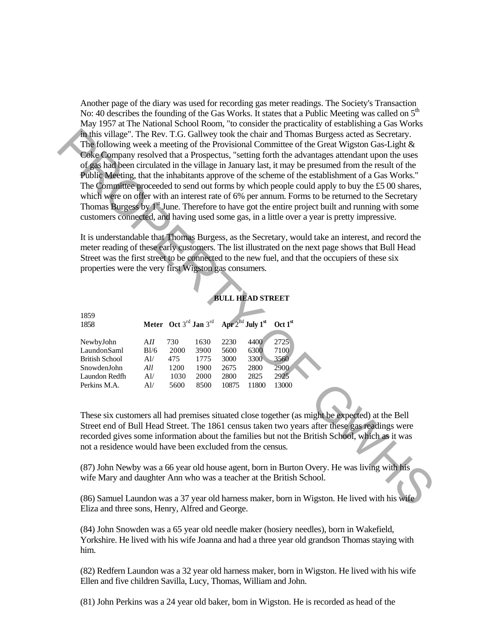Another page of the diary was used for recording gas meter readings. The Society's Transaction No: 40 describes the founding of the Gas Works. It states that a Public Meeting was called on  $5<sup>th</sup>$ May 1957 at The National School Room, "to consider the practicality of establishing a Gas Works in this village". The Rev. T.G. Gallwey took the chair and Thomas Burgess acted as Secretary. The following week a meeting of the Provisional Committee of the Great Wigston Gas-Light & Coke Company resolved that a Prospectus, "setting forth the advantages attendant upon the uses of gas had been circulated in the village in January last, it may be presumed from the result of the Public Meeting, that the inhabitants approve of the scheme of the establishment of a Gas Works." The Committee proceeded to send out forms by which people could apply to buy the £5 00 shares, which were on offer with an interest rate of 6% per annum. Forms to be returned to the Secretary Thomas Burgess by  $1<sup>st</sup>$  June. Therefore to have got the entire project built and running with some customers connected, and having used some gas, in a little over a year is pretty impressive. **Thus village".** The Rev. TG Glullow took the chair ond Thomas Burgess acted as Secretary.<br>
The following week a metring of the Provisional Committee of the Green Wigston Gss-Light &<br>
Collection may resolved that a Proper

It is understandable that Thomas Burgess, as the Secretary, would take an interest, and record the meter reading of these early customers. The list illustrated on the next page shows that Bull Head Street was the first street to be connected to the new fuel, and that the occupiers of these six properties were the very first Wigston gas consumers.

**BULL HEAD STREET**

| 1859                  |      |      |                                                                                 |       |       |                     |
|-----------------------|------|------|---------------------------------------------------------------------------------|-------|-------|---------------------|
|                       |      |      |                                                                                 |       |       |                     |
| 1858                  |      |      | Meter Oct 3 <sup>rd</sup> Jan 3 <sup>rd</sup> Apr $2^{Bd}$ July 1 <sup>st</sup> |       |       | Oct 1 <sup>st</sup> |
|                       |      |      |                                                                                 |       |       |                     |
| NewbyJohn             | AII  | 730  | 1630                                                                            | 2230  | 4400  | 2725                |
| LaundonSaml           | B1/6 | 2000 | 3900                                                                            | 5600  | 6300  | 7100                |
| <b>British School</b> | Al/  | 475  | 1775                                                                            | 3000  | 3300  | 3560                |
| SnowdenJohn           | All  | 1200 | 1900                                                                            | 2675  | 2800  | 2900                |
| Laundon Redfh         | Al/  | 1030 | 2000                                                                            | 2800  | 2825  | 2925                |
| Perkins M.A.          | Al/  | 5600 | 8500                                                                            | 10875 | 11800 | 13000               |

These six customers all had premises situated close together (as might be expected) at the Bell Street end of Bull Head Street. The 1861 census taken two years after these gas readings were recorded gives some information about the families but not the British School, which as it was not a residence would have been excluded from the census.

(87) John Newby was a 66 year old house agent, born in Burton Overy. He was living with his wife Mary and daughter Ann who was a teacher at the British School.

(86) Samuel Laundon was a 37 year old harness maker, born in Wigston. He lived with his wife Eliza and three sons, Henry, Alfred and George.

(84) John Snowden was a 65 year old needle maker (hosiery needles), born in Wakefield, Yorkshire. He lived with his wife Joanna and had a three year old grandson Thomas staying with him.

(82) Redfern Laundon was a 32 year old harness maker, born in Wigston. He lived with his wife Ellen and five children Savilla, Lucy, Thomas, William and John.

(81) John Perkins was a 24 year old baker, bom in Wigston. He is recorded as head of the